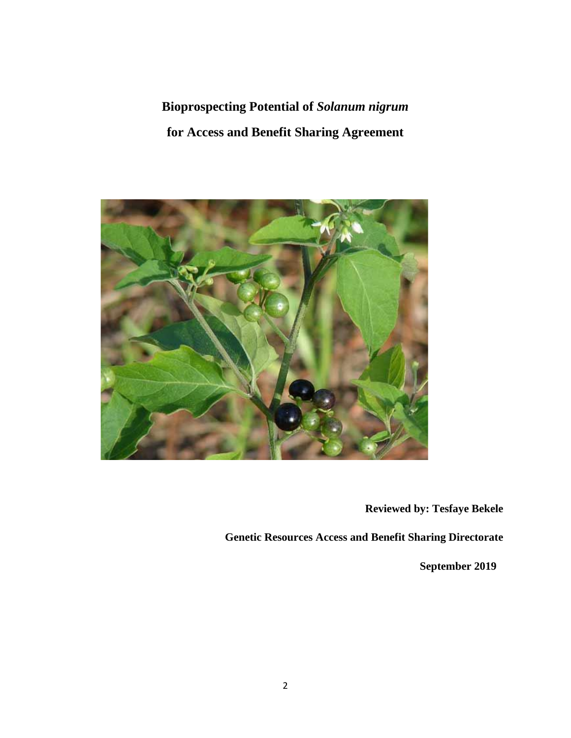**Bioprospecting Potential of** *Solanum nigrum* **for Access and Benefit Sharing Agreement**



**Reviewed by: Tesfaye Bekele**

**Genetic Resources Access and Benefit Sharing Directorate**

**September 2019**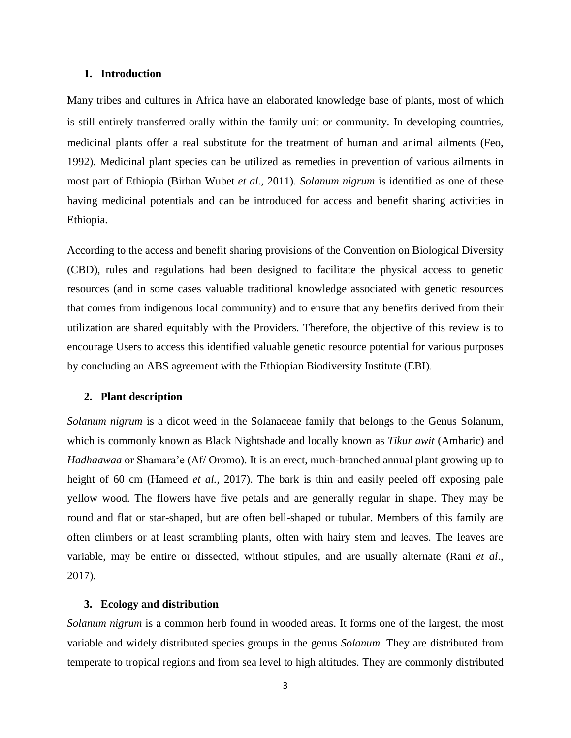## **1. Introduction**

Many tribes and cultures in Africa have an elaborated knowledge base of plants, most of which is still entirely transferred orally within the family unit or community. In developing countries, medicinal plants offer a real substitute for the treatment of human and animal ailments (Feo, 1992). Medicinal plant species can be utilized as remedies in prevention of various ailments in most part of Ethiopia (Birhan Wubet *et al.,* 2011). *Solanum nigrum* is identified as one of these having medicinal potentials and can be introduced for access and benefit sharing activities in Ethiopia.

According to the access and benefit sharing provisions of the Convention on Biological Diversity (CBD), rules and regulations had been designed to facilitate the physical access to genetic resources (and in some cases valuable traditional knowledge associated with genetic resources that comes from indigenous local community) and to ensure that any benefits derived from their utilization are shared equitably with the Providers. Therefore, the objective of this review is to encourage Users to access this identified valuable genetic resource potential for various purposes by concluding an ABS agreement with the Ethiopian Biodiversity Institute (EBI).

### **2. Plant description**

*Solanum nigrum* is a dicot weed in the Solanaceae family that belongs to the Genus Solanum, which is commonly known as Black Nightshade and locally known as *Tikur awit* (Amharic) and *Hadhaawaa* or Shamara'e (Af/ Oromo). It is an erect, much-branched annual plant growing up to height of 60 cm (Hameed *et al.,* 2017). The bark is thin and easily peeled off exposing pale yellow wood. The flowers have five petals and are generally regular in shape. They may be round and flat or star-shaped, but are often bell-shaped or tubular. Members of this family are often climbers or at least scrambling plants, often with hairy stem and leaves. The leaves are variable, may be entire or dissected, without stipules, and are usually alternate (Rani *et al*., 2017).

# **3. Ecology and distribution**

*Solanum nigrum* is a common herb found in wooded areas. It forms one of the largest, the most variable and widely distributed species groups in the genus *Solanum.* They are distributed from temperate to tropical regions and from sea level to high altitudes. They are commonly distributed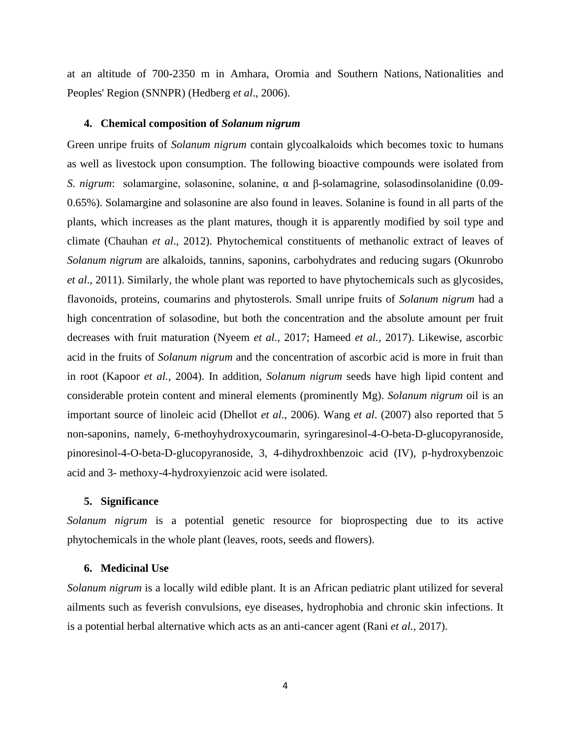at an altitude of 700-2350 m in Amhara, Oromia and Southern Nations, Nationalities and Peoples' Region (SNNPR) (Hedberg *et al*., 2006).

### **4. Chemical composition of** *Solanum nigrum*

Green unripe fruits of *Solanum nigrum* contain glycoalkaloids which becomes toxic to humans as well as livestock upon consumption. The following bioactive compounds were isolated from *S. nigrum*: solamargine, solasonine, solanine, α and β-solamagrine, solasodinsolanidine (0.09- 0.65%). Solamargine and solasonine are also found in leaves. Solanine is found in all parts of the plants, which increases as the plant matures, though it is apparently modified by soil type and climate (Chauhan *et al*., 2012). Phytochemical constituents of methanolic extract of leaves of *Solanum nigrum* are alkaloids, tannins, saponins, carbohydrates and reducing sugars (Okunrobo *et al*., 2011). Similarly, the whole plant was reported to have phytochemicals such as glycosides, flavonoids, proteins, coumarins and phytosterols. Small unripe fruits of *Solanum nigrum* had a high concentration of solasodine, but both the concentration and the absolute amount per fruit decreases with fruit maturation (Nyeem *et al.,* 2017; Hameed *et al.,* 2017). Likewise, ascorbic acid in the fruits of *Solanum nigrum* and the concentration of ascorbic acid is more in fruit than in root (Kapoor *et al.,* 2004). In addition, *Solanum nigrum* seeds have high lipid content and considerable protein content and mineral elements (prominently Mg). *Solanum nigrum* oil is an important source of linoleic acid (Dhellot *et al*., 2006). Wang *et al*. (2007) also reported that 5 non-saponins, namely, 6-methoyhydroxycoumarin, syringaresinol-4-O-beta-D-glucopyranoside, pinoresinol-4-O-beta-D-glucopyranoside, 3, 4-dihydroxhbenzoic acid (IV), p-hydroxybenzoic acid and 3- methoxy-4-hydroxyienzoic acid were isolated.

### **5. Significance**

*Solanum nigrum* is a potential genetic resource for bioprospecting due to its active phytochemicals in the whole plant (leaves, roots, seeds and flowers).

### **6. Medicinal Use**

*Solanum nigrum* is a locally wild edible plant. It is an African pediatric plant utilized for several ailments such as feverish convulsions, eye diseases, hydrophobia and chronic skin infections. It is a potential herbal alternative which acts as an anti-cancer agent (Rani *et al.,* 2017).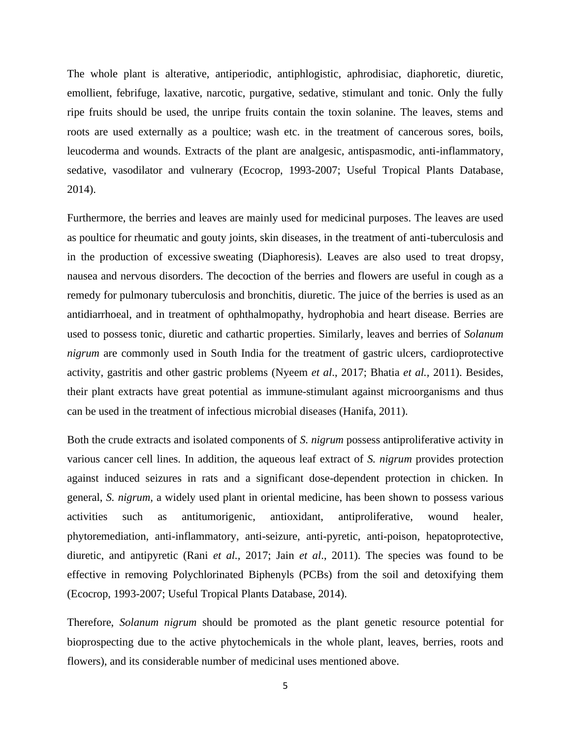The whole plant is alterative, antiperiodic, antiphlogistic, aphrodisiac, diaphoretic, diuretic, emollient, febrifuge, laxative, narcotic, purgative, sedative, stimulant and tonic. Only the fully ripe fruits should be used, the unripe fruits contain the toxin solanine. The leaves, stems and roots are used externally as a poultice; wash etc. in the treatment of cancerous sores, boils, leucoderma and wounds. Extracts of the plant are analgesic, antispasmodic, anti-inflammatory, sedative, vasodilator and vulnerary (Ecocrop, 1993-2007; Useful Tropical Plants Database, 2014).

Furthermore, the berries and leaves are mainly used for medicinal purposes. The leaves are used as poultice for rheumatic and gouty joints, skin diseases, in the treatment of anti-tuberculosis and in the production of excessive sweating (Diaphoresis). Leaves are also used to treat dropsy, nausea and nervous disorders. The decoction of the berries and flowers are useful in cough as a remedy for pulmonary tuberculosis and bronchitis, diuretic. The juice of the berries is used as an antidiarrhoeal, and in treatment of ophthalmopathy, hydrophobia and heart disease. Berries are used to possess tonic, diuretic and cathartic properties. Similarly, leaves and berries of *Solanum nigrum* are commonly used in South India for the treatment of gastric ulcers, cardioprotective activity, gastritis and other gastric problems (Nyeem *et al*., 2017; Bhatia *et al.,* 2011). Besides, their plant extracts have great potential as immune-stimulant against microorganisms and thus can be used in the treatment of infectious microbial diseases (Hanifa, 2011).

Both the crude extracts and isolated components of *S. nigrum* possess antiproliferative activity in various cancer cell lines. In addition, the aqueous leaf extract of *S. nigrum* provides protection against induced seizures in rats and a significant dose-dependent protection in chicken. In general, *S. nigrum,* a widely used plant in oriental medicine, has been shown to possess various activities such as antitumorigenic, antioxidant, antiproliferative, wound healer, phytoremediation, anti-inflammatory, anti-seizure, anti-pyretic, anti-poison, hepatoprotective, diuretic, and antipyretic (Rani *et al.,* 2017; Jain *et al*., 2011). The species was found to be effective in removing Polychlorinated Biphenyls (PCBs) from the soil and detoxifying them (Ecocrop, 1993-2007; Useful Tropical Plants Database, 2014).

Therefore, *Solanum nigrum* should be promoted as the plant genetic resource potential for bioprospecting due to the active phytochemicals in the whole plant, leaves, berries, roots and flowers), and its considerable number of medicinal uses mentioned above.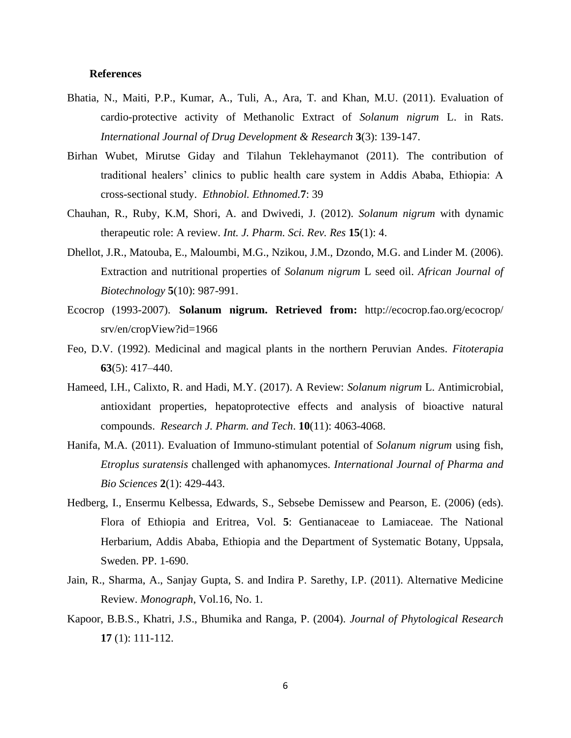# **References**

- Bhatia, N., Maiti, P.P., Kumar, A., Tuli, A., Ara, T. and Khan, M.U. (2011). Evaluation of cardio-protective activity of Methanolic Extract of *Solanum nigrum* L. in Rats. *International Journal of Drug Development & Research* **3**(3): 139-147.
- Birhan Wubet, Mirutse Giday and Tilahun Teklehaymanot (2011). The contribution of traditional healers' clinics to public health care system in Addis Ababa, Ethiopia: A cross-sectional study. *Ethnobiol. Ethnomed.***7**: 39
- Chauhan, R., Ruby, K.M, Shori, A. and Dwivedi, J. (2012). *Solanum nigrum* with dynamic therapeutic role: A review. *Int. J. Pharm. Sci. Rev. Res* **15**(1): 4.
- Dhellot, J.R., Matouba, E., Maloumbi, M.G., Nzikou, J.M., Dzondo, M.G. and Linder M. (2006). Extraction and nutritional properties of *Solanum nigrum* L seed oil. *African Journal of Biotechnology* **5**(10): 987-991.
- Ecocrop (1993-2007). **Solanum nigrum. Retrieved from:** http://ecocrop.fao.org/ecocrop/ srv/en/cropView?id=1966
- Feo, D.V. (1992). Medicinal and magical plants in the northern Peruvian Andes. *Fitoterapia* **63**(5): 417–440.
- Hameed, I.H., Calixto, R. and Hadi, M.Y. (2017). A Review: *Solanum nigrum* L. Antimicrobial, antioxidant properties, hepatoprotective effects and analysis of bioactive natural compounds. *Research J. Pharm. and Tech*. **10**(11): 4063-4068.
- Hanifa, M.A. (2011). Evaluation of Immuno-stimulant potential of *Solanum nigrum* using fish, *Etroplus suratensis* challenged with aphanomyces*. International Journal of Pharma and Bio Sciences* **2**(1): 429-443.
- Hedberg, I., Ensermu Kelbessa, Edwards, S., Sebsebe Demissew and Pearson, E. (2006) (eds). Flora of Ethiopia and Eritrea*,* Vol. **5**: Gentianaceae to Lamiaceae. The National Herbarium, Addis Ababa, Ethiopia and the Department of Systematic Botany, Uppsala, Sweden. PP. 1-690.
- Jain, R., Sharma, A., Sanjay Gupta, S. and Indira P. Sarethy, I.P. (2011). Alternative Medicine Review. *Monograph*, Vol.16, No. 1.
- Kapoor, B.B.S., Khatri, J.S., Bhumika and Ranga, P. (2004). *Journal of Phytological Research* **17** (1): 111-112.